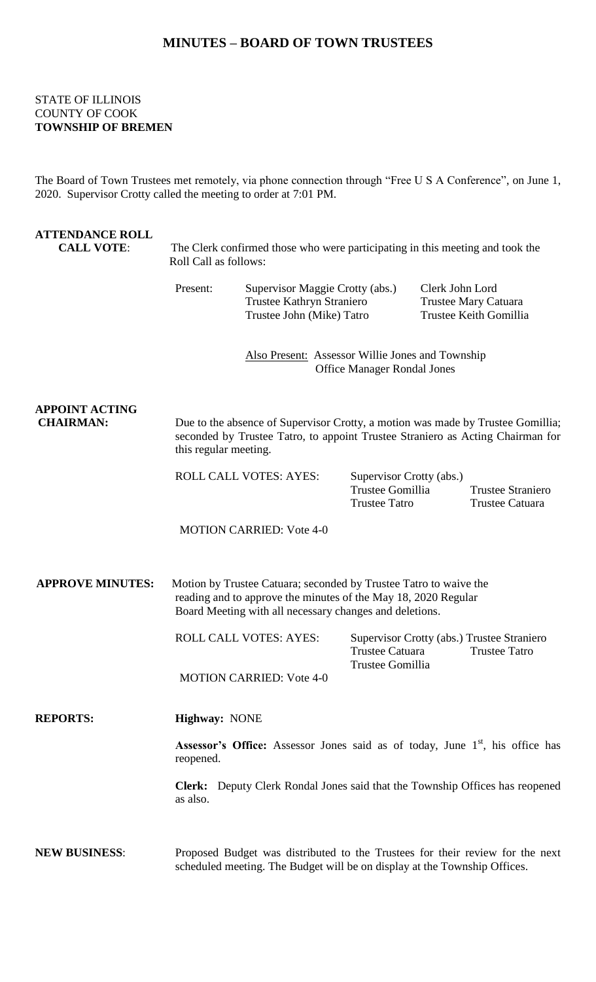## **MINUTES – BOARD OF TOWN TRUSTEES**

## STATE OF ILLINOIS COUNTY OF COOK **TOWNSHIP OF BREMEN**

The Board of Town Trustees met remotely, via phone connection through "Free U S A Conference", on June 1, 2020. Supervisor Crotty called the meeting to order at 7:01 PM.

| <b>ATTENDANCE ROLL</b><br><b>CALL VOTE:</b> | The Clerk confirmed those who were participating in this meeting and took the<br>Roll Call as follows:                                                                                         |                                                                                                                                                                   |                                                                      |                                                                   |                                                                    |  |
|---------------------------------------------|------------------------------------------------------------------------------------------------------------------------------------------------------------------------------------------------|-------------------------------------------------------------------------------------------------------------------------------------------------------------------|----------------------------------------------------------------------|-------------------------------------------------------------------|--------------------------------------------------------------------|--|
|                                             | Present:                                                                                                                                                                                       | Supervisor Maggie Crotty (abs.)<br>Trustee Kathryn Straniero<br>Trustee John (Mike) Tatro                                                                         |                                                                      | Clerk John Lord<br>Trustee Mary Catuara<br>Trustee Keith Gomillia |                                                                    |  |
|                                             |                                                                                                                                                                                                | Also Present: Assessor Willie Jones and Township<br><b>Office Manager Rondal Jones</b>                                                                            |                                                                      |                                                                   |                                                                    |  |
| <b>APPOINT ACTING</b><br><b>CHAIRMAN:</b>   | this regular meeting.                                                                                                                                                                          | Due to the absence of Supervisor Crotty, a motion was made by Trustee Gomillia;<br>seconded by Trustee Tatro, to appoint Trustee Straniero as Acting Chairman for |                                                                      |                                                                   |                                                                    |  |
|                                             | <b>ROLL CALL VOTES: AYES:</b>                                                                                                                                                                  |                                                                                                                                                                   | Supervisor Crotty (abs.)<br>Trustee Gomillia<br><b>Trustee Tatro</b> |                                                                   | <b>Trustee Straniero</b><br>Trustee Catuara                        |  |
|                                             |                                                                                                                                                                                                | <b>MOTION CARRIED: Vote 4-0</b>                                                                                                                                   |                                                                      |                                                                   |                                                                    |  |
| <b>APPROVE MINUTES:</b>                     | Motion by Trustee Catuara; seconded by Trustee Tatro to waive the<br>reading and to approve the minutes of the May 18, 2020 Regular<br>Board Meeting with all necessary changes and deletions. |                                                                                                                                                                   |                                                                      |                                                                   |                                                                    |  |
|                                             |                                                                                                                                                                                                | <b>ROLL CALL VOTES: AYES:</b>                                                                                                                                     | <b>Trustee Catuara</b><br>Trustee Gomillia                           |                                                                   | Supervisor Crotty (abs.) Trustee Straniero<br><b>Trustee Tatro</b> |  |
|                                             |                                                                                                                                                                                                | <b>MOTION CARRIED: Vote 4-0</b>                                                                                                                                   |                                                                      |                                                                   |                                                                    |  |
| <b>REPORTS:</b>                             | Highway: NONE                                                                                                                                                                                  |                                                                                                                                                                   |                                                                      |                                                                   |                                                                    |  |
|                                             | <b>Assessor's Office:</b> Assessor Jones said as of today, June 1 <sup>st</sup> , his office has<br>reopened.                                                                                  |                                                                                                                                                                   |                                                                      |                                                                   |                                                                    |  |
|                                             | <b>Clerk:</b> Deputy Clerk Rondal Jones said that the Township Offices has reopened<br>as also.                                                                                                |                                                                                                                                                                   |                                                                      |                                                                   |                                                                    |  |
| <b>NEW BUSINESS:</b>                        | Proposed Budget was distributed to the Trustees for their review for the next<br>scheduled meeting. The Budget will be on display at the Township Offices.                                     |                                                                                                                                                                   |                                                                      |                                                                   |                                                                    |  |